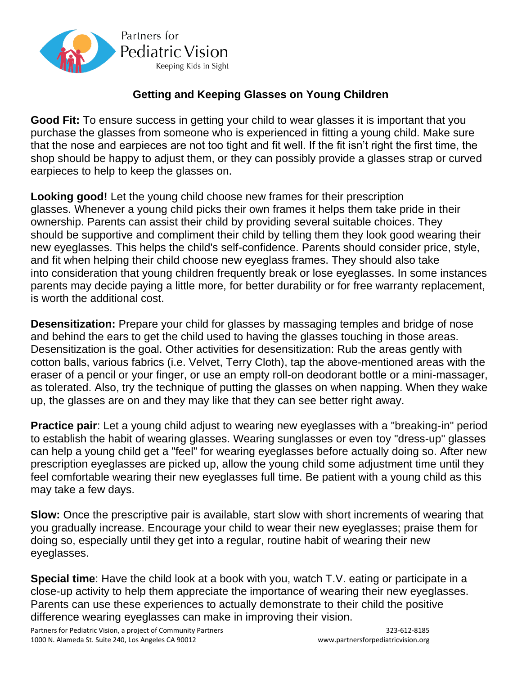

## **Getting and Keeping Glasses on Young Children**

**Good Fit:** To ensure success in getting your child to wear glasses it is important that you purchase the glasses from someone who is experienced in fitting a young child. Make sure that the nose and earpieces are not too tight and fit well. If the fit isn't right the first time, the shop should be happy to adjust them, or they can possibly provide a glasses strap or curved earpieces to help to keep the glasses on.

**Looking good!** Let the young child choose new frames for their prescription glasses. Whenever a young child picks their own frames it helps them take pride in their ownership. Parents can assist their child by providing several suitable choices. They should be supportive and compliment their child by telling them they look good wearing their new eyeglasses. This helps the child's self-confidence. Parents should consider price, style, and fit when helping their child choose new eyeglass frames. They should also take into consideration that young children frequently break or lose eyeglasses. In some instances parents may decide paying a little more, for better durability or for free warranty replacement, is worth the additional cost.

**Desensitization:** Prepare your child for glasses by massaging temples and bridge of nose and behind the ears to get the child used to having the glasses touching in those areas. Desensitization is the goal. Other activities for desensitization: Rub the areas gently with cotton balls, various fabrics (i.e. Velvet, Terry Cloth), tap the above-mentioned areas with the eraser of a pencil or your finger, or use an empty roll-on deodorant bottle or a mini-massager, as tolerated. Also, try the technique of putting the glasses on when napping. When they wake up, the glasses are on and they may like that they can see better right away.

**Practice pair**: Let a young child adjust to wearing new eyeglasses with a "breaking-in" period to establish the habit of wearing glasses. Wearing sunglasses or even toy "dress-up" glasses can help a young child get a "feel" for wearing eyeglasses before actually doing so. After new prescription eyeglasses are picked up, allow the young child some adjustment time until they feel comfortable wearing their new eyeglasses full time. Be patient with a young child as this may take a few days.

**Slow:** Once the prescriptive pair is available, start slow with short increments of wearing that you gradually increase. Encourage your child to wear their new eyeglasses; praise them for doing so, especially until they get into a regular, routine habit of wearing their new eyeglasses.

**Special time**: Have the child look at a book with you, watch T.V. eating or participate in a close-up activity to help them appreciate the importance of wearing their new eyeglasses. Parents can use these experiences to actually demonstrate to their child the positive difference wearing eyeglasses can make in improving their vision.